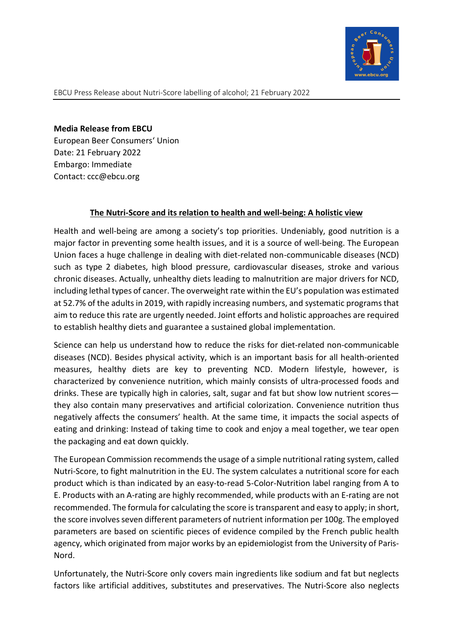

Media Release from EBCU European Beer Consumers' Union Date: 21 February 2022 Embargo: Immediate Contact: ccc@ebcu.org

## The Nutri-Score and its relation to health and well-being: A holistic view

Health and well-being are among a society's top priorities. Undeniably, good nutrition is a major factor in preventing some health issues, and it is a source of well-being. The European Union faces a huge challenge in dealing with diet-related non-communicable diseases (NCD) such as type 2 diabetes, high blood pressure, cardiovascular diseases, stroke and various chronic diseases. Actually, unhealthy diets leading to malnutrition are major drivers for NCD, including lethal types of cancer. The overweight rate within the EU's population was estimated at 52.7% of the adults in 2019, with rapidly increasing numbers, and systematic programs that aim to reduce this rate are urgently needed. Joint efforts and holistic approaches are required to establish healthy diets and guarantee a sustained global implementation.

Science can help us understand how to reduce the risks for diet-related non-communicable diseases (NCD). Besides physical activity, which is an important basis for all health-oriented measures, healthy diets are key to preventing NCD. Modern lifestyle, however, is characterized by convenience nutrition, which mainly consists of ultra-processed foods and drinks. These are typically high in calories, salt, sugar and fat but show low nutrient scores they also contain many preservatives and artificial colorization. Convenience nutrition thus negatively affects the consumers' health. At the same time, it impacts the social aspects of eating and drinking: Instead of taking time to cook and enjoy a meal together, we tear open the packaging and eat down quickly.

The European Commission recommends the usage of a simple nutritional rating system, called Nutri-Score, to fight malnutrition in the EU. The system calculates a nutritional score for each product which is than indicated by an easy-to-read 5-Color-Nutrition label ranging from A to E. Products with an A-rating are highly recommended, while products with an E-rating are not recommended. The formula for calculating the score is transparent and easy to apply; in short, the score involves seven different parameters of nutrient information per 100g. The employed parameters are based on scientific pieces of evidence compiled by the French public health agency, which originated from major works by an epidemiologist from the University of Paris-Nord.

Unfortunately, the Nutri-Score only covers main ingredients like sodium and fat but neglects factors like artificial additives, substitutes and preservatives. The Nutri-Score also neglects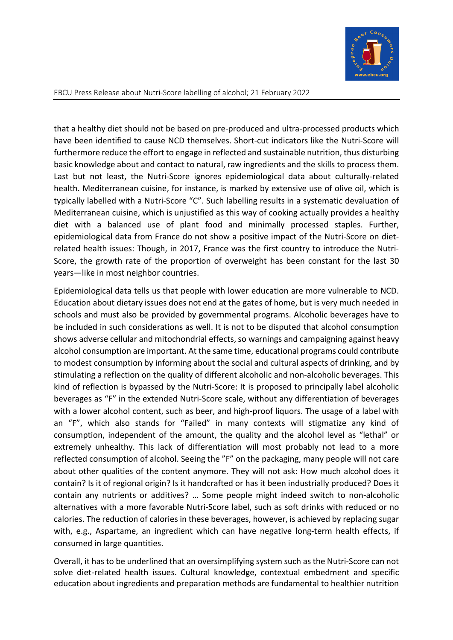

EBCU Press Release about Nutri-Score labelling of alcohol; 21 February 2022

that a healthy diet should not be based on pre-produced and ultra-processed products which have been identified to cause NCD themselves. Short-cut indicators like the Nutri-Score will furthermore reduce the effort to engage in reflected and sustainable nutrition, thus disturbing basic knowledge about and contact to natural, raw ingredients and the skills to process them. Last but not least, the Nutri-Score ignores epidemiological data about culturally-related health. Mediterranean cuisine, for instance, is marked by extensive use of olive oil, which is typically labelled with a Nutri-Score "C". Such labelling results in a systematic devaluation of Mediterranean cuisine, which is unjustified as this way of cooking actually provides a healthy diet with a balanced use of plant food and minimally processed staples. Further, epidemiological data from France do not show a positive impact of the Nutri-Score on dietrelated health issues: Though, in 2017, France was the first country to introduce the Nutri-Score, the growth rate of the proportion of overweight has been constant for the last 30 years—like in most neighbor countries.

Epidemiological data tells us that people with lower education are more vulnerable to NCD. Education about dietary issues does not end at the gates of home, but is very much needed in schools and must also be provided by governmental programs. Alcoholic beverages have to be included in such considerations as well. It is not to be disputed that alcohol consumption shows adverse cellular and mitochondrial effects, so warnings and campaigning against heavy alcohol consumption are important. At the same time, educational programs could contribute to modest consumption by informing about the social and cultural aspects of drinking, and by stimulating a reflection on the quality of different alcoholic and non-alcoholic beverages. This kind of reflection is bypassed by the Nutri-Score: It is proposed to principally label alcoholic beverages as "F" in the extended Nutri-Score scale, without any differentiation of beverages with a lower alcohol content, such as beer, and high-proof liquors. The usage of a label with an "F", which also stands for "Failed" in many contexts will stigmatize any kind of consumption, independent of the amount, the quality and the alcohol level as "lethal" or extremely unhealthy. This lack of differentiation will most probably not lead to a more reflected consumption of alcohol. Seeing the "F" on the packaging, many people will not care about other qualities of the content anymore. They will not ask: How much alcohol does it contain? Is it of regional origin? Is it handcrafted or has it been industrially produced? Does it contain any nutrients or additives? … Some people might indeed switch to non-alcoholic alternatives with a more favorable Nutri-Score label, such as soft drinks with reduced or no calories. The reduction of calories in these beverages, however, is achieved by replacing sugar with, e.g., Aspartame, an ingredient which can have negative long-term health effects, if consumed in large quantities.

Overall, it has to be underlined that an oversimplifying system such as the Nutri-Score can not solve diet-related health issues. Cultural knowledge, contextual embedment and specific education about ingredients and preparation methods are fundamental to healthier nutrition